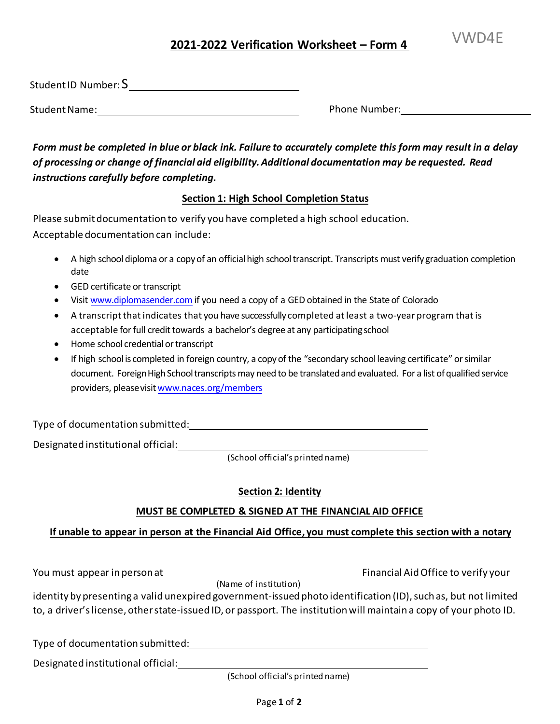# VWD4E **<sup>202</sup>1-2022 Verification Worksheet – Form <sup>4</sup>**

Student ID Number:  $\mathsf{S}\rule{0.1mm}{0.3mm}$ 

Student Name: Name: Phone Number: Phone Number: Phone Number: Phone Number: Phone Number: Phone Number: Phone Number: Phone Number: Phone Number: Phone Number: Phone Number: Phone Number: Phone Number: Phone Number: Phone

 *Form must be completed in blue or black ink. Failure to accurately complete this form may result in a delay of processing or change of financial aid eligibility. Additional documentation may be requested. Read instructions carefully before completing.* 

## **Section 1: High School Completion Status**

 Please submit documentation to verify you have completed a high school education. Acceptable documentation can include:

- • A high school diploma or a copy of an official high school transcript. Transcripts must verify graduation completion date
- GED certificate or transcript
- Visit [www.diplomasender.com](http://www.diplomasender.com/) if you need a copy of a GED obtained in the State of Colorado
- • A transcript that indicates that you have successfully completed at least a two-year program that is acceptable for full credit towards a bachelor's degree at any participating school
- Home school credential or transcript
- • If high school is completed in foreign country, a copy of the "secondary school leaving certificate" or similar document. Foreign High School transcripts may need to be translated and evaluated. For a list of qualified service providers, please visit www.naces.org/members

Type of documentation submitted:

Designated institutional official:

(School official's printed name)

## **Section 2: Identity**

## **MUST BE COMPLETED & SIGNED AT THE FINANCIAL AID OFFICE**

# **If unable to appear in person at the Financial Aid Office, you must complete this section with a notary**

You must appear in person at Financial Aid Office to verify your

(Name of institution)

 identity by presenting a valid unexpired government-issued photo identification (ID), such as, but not limited to, a driver's license, other state-issued ID, or passport. The institution will maintain a copy of your photo ID.

Type of documentation submitted:

Designated institutional official:

(School official's printed name)